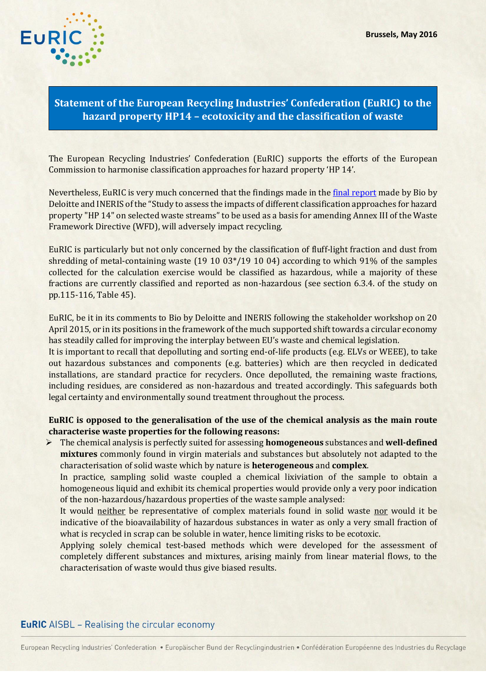

## **Statement of the European Recycling Industries' Confederation (EuRIC) to the hazard property HP14 – ecotoxicity and the classification of waste**

The European Recycling Industries' Confederation (EuRIC) supports the efforts of the European Commission to harmonise classification approaches for hazard property 'HP 14'.

Nevertheless, EuRIC is very much concerned that the findings made in the [final report](http://ec.europa.eu/environment/waste/studies/pdf/H14.pdf) made by Bio by Deloitte and INERIS of the "Study to assess the impacts of different classification approaches for hazard property "HP 14" on selected waste streams" to be used as a basis for amending Annex III of the Waste Framework Directive (WFD), will adversely impact recycling.

EuRIC is particularly but not only concerned by the classification of fluff-light fraction and dust from shredding of metal-containing waste (19 10 03\*/19 10 04) according to which 91% of the samples collected for the calculation exercise would be classified as hazardous, while a majority of these fractions are currently classified and reported as non-hazardous (see section 6.3.4. of the study on pp.115-116, Table 45).

EuRIC, be it in its comments to Bio by Deloitte and INERIS following the stakeholder workshop on 20 April 2015, or in its positions in the framework of the much supported shift towards a circular economy has steadily called for improving the interplay between EU's waste and chemical legislation.

It is important to recall that depolluting and sorting end-of-life products (e.g. ELVs or WEEE), to take out hazardous substances and components (e.g. batteries) which are then recycled in dedicated installations, are standard practice for recyclers. Once depolluted, the remaining waste fractions, including residues, are considered as non-hazardous and treated accordingly. This safeguards both legal certainty and environmentally sound treatment throughout the process.

**EuRIC is opposed to the generalisation of the use of the chemical analysis as the main route characterise waste properties for the following reasons:** 

 The chemical analysis is perfectly suited for assessing **homogeneous** substances and **well-defined mixtures** commonly found in virgin materials and substances but absolutely not adapted to the characterisation of solid waste which by nature is **heterogeneous** and **complex**.

In practice, sampling solid waste coupled a chemical lixiviation of the sample to obtain a homogeneous liquid and exhibit its chemical properties would provide only a very poor indication of the non-hazardous/hazardous properties of the waste sample analysed:

It would neither be representative of complex materials found in solid waste nor would it be indicative of the bioavailability of hazardous substances in water as only a very small fraction of what is recycled in scrap can be soluble in water, hence limiting risks to be ecotoxic.

Applying solely chemical test-based methods which were developed for the assessment of completely different substances and mixtures, arising mainly from linear material flows, to the characterisation of waste would thus give biased results.

## **EuRIC** AISBL - Realising the circular economy

European Recycling Industries' Confederation · Europäischer Bund der Recyclingindustrien · Confédération Européenne des Industries du Recyclage